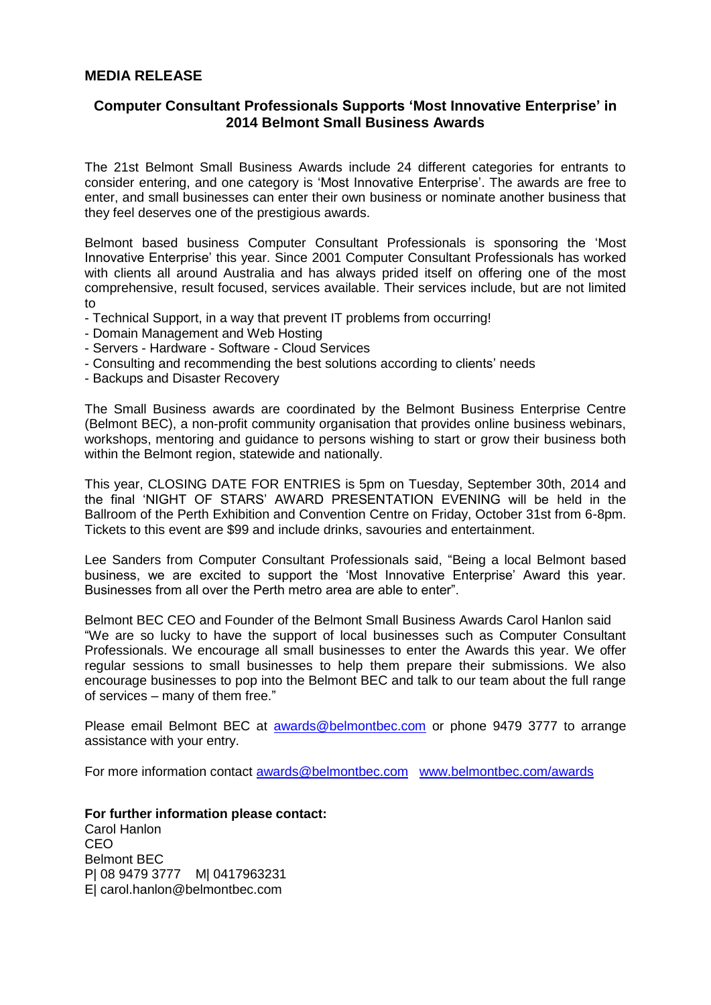## **MEDIA RELEASE**

## **Computer Consultant Professionals Supports 'Most Innovative Enterprise' in 2014 Belmont Small Business Awards**

The 21st Belmont Small Business Awards include 24 different categories for entrants to consider entering, and one category is 'Most Innovative Enterprise'. The awards are free to enter, and small businesses can enter their own business or nominate another business that they feel deserves one of the prestigious awards.

Belmont based business Computer Consultant Professionals is sponsoring the 'Most Innovative Enterprise' this year. Since 2001 Computer Consultant Professionals has worked with clients all around Australia and has always prided itself on offering one of the most comprehensive, result focused, services available. Their services include, but are not limited to

- Technical Support, in a way that prevent IT problems from occurring!
- Domain Management and Web Hosting
- Servers Hardware Software Cloud Services
- Consulting and recommending the best solutions according to clients' needs
- Backups and Disaster Recovery

The Small Business awards are coordinated by the Belmont Business Enterprise Centre (Belmont BEC), a non-profit community organisation that provides online business webinars, workshops, mentoring and guidance to persons wishing to start or grow their business both within the Belmont region, statewide and nationally.

This year, CLOSING DATE FOR ENTRIES is 5pm on Tuesday, September 30th, 2014 and the final 'NIGHT OF STARS' AWARD PRESENTATION EVENING will be held in the Ballroom of the Perth Exhibition and Convention Centre on Friday, October 31st from 6-8pm. Tickets to this event are \$99 and include drinks, savouries and entertainment.

Lee Sanders from Computer Consultant Professionals said, "Being a local Belmont based business, we are excited to support the 'Most Innovative Enterprise' Award this year. Businesses from all over the Perth metro area are able to enter".

Belmont BEC CEO and Founder of the Belmont Small Business Awards Carol Hanlon said "We are so lucky to have the support of local businesses such as Computer Consultant Professionals. We encourage all small businesses to enter the Awards this year. We offer regular sessions to small businesses to help them prepare their submissions. We also encourage businesses to pop into the Belmont BEC and talk to our team about the full range of services – many of them free."

Please email Belmont BEC at [awards@belmontbec.com](mailto:awards@belmontbec.com) or phone 9479 3777 to arrange assistance with your entry.

For more information contact [awards@belmontbec.com](mailto:awards@belmontbec.com) [www.belmontbec.com/awards](http://www.belmontbec.com/awards)

**For further information please contact:** Carol Hanlon CEO Belmont BEC P| 08 9479 3777 M| 0417963231 E| carol.hanlon@belmontbec.com